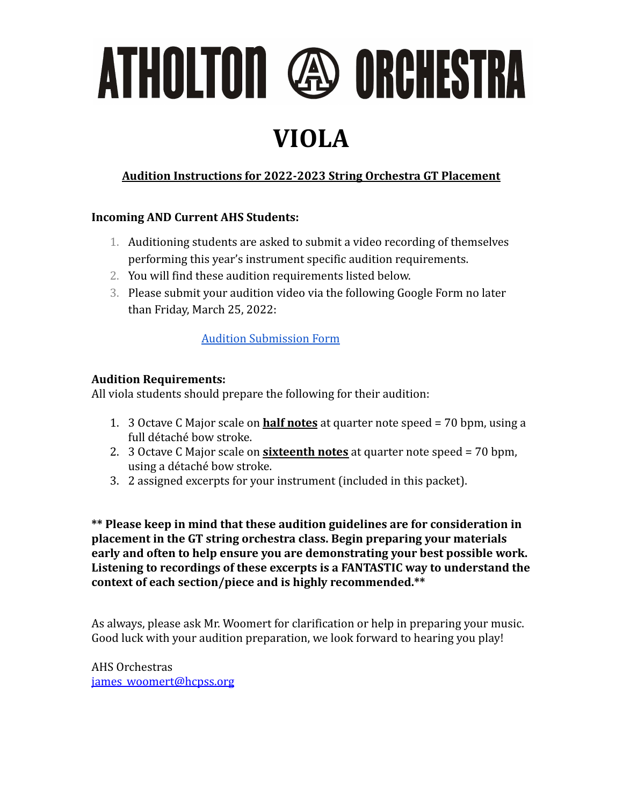# ATHOLTON @ ORCHESTRA

### **VIOLA**

#### **Audition Instructions for 2022-2023 String Orchestra GT Placement**

#### **Incoming AND Current AHS Students:**

- 1. Auditioning students are asked to submit a video recording of themselves performing this year's instrument specific audition requirements.
- 2. You will find these audition requirements listed below.
- 3. Please submit your audition video via the following Google Form no later than Friday, March 25, 2022:

#### [Audition Submission Form](https://forms.gle/oHtR1A3Y7SwL3D3i7)

#### **Audition Requirements:**

All viola students should prepare the following for their audition:

- 1. 3 Octave C Major scale on **half notes** at quarter note speed = 70 bpm, using a full détaché bow stroke.
- 2. 3 Octave C Major scale on **sixteenth notes** at quarter note speed = 70 bpm, using a détaché bow stroke.
- 3. 2 assigned excerpts for your instrument (included in this packet).

**\*\* Please keep in mind that these audition guidelines are for consideration in placement in the GT string orchestra class. Begin preparing your materials early and often to help ensure you are demonstrating your best possible work. Listening to recordings of these excerpts is a FANTASTIC way to understand the context of each section/piece and is highly recommended.\*\***

As always, please ask Mr. Woomert for clarification or help in preparing your music. Good luck with your audition preparation, we look forward to hearing you play!

AHS Orchestras [james\\_woomert@hcpss.org](mailto:james_woomert@hcpss.org)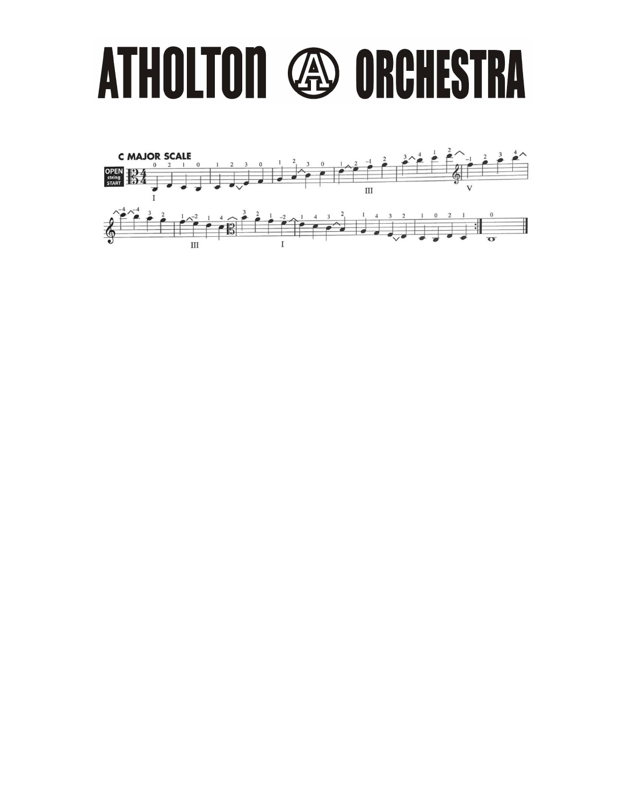### ATHOLTON **49 ORCHESTRA**